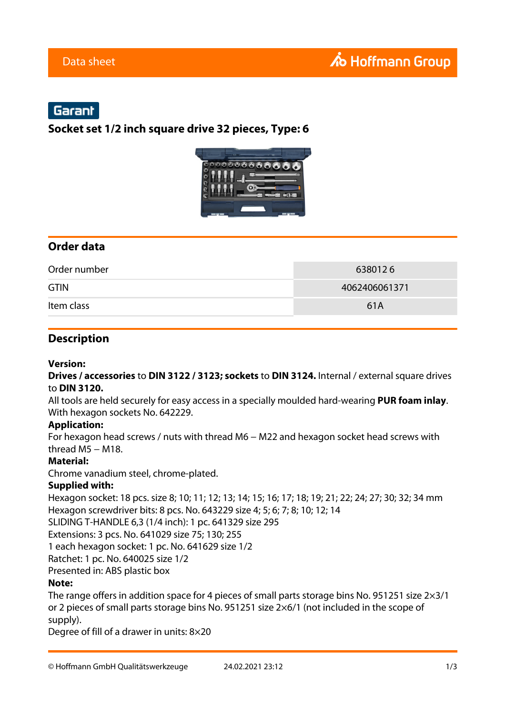## Garant

## **Socket set 1/2 inch square drive 32 pieces, Type: 6**



## **Order data**

| Order number | 6380126       |
|--------------|---------------|
| <b>GTIN</b>  | 4062406061371 |
| Item class   | 61A           |

#### **Description**

#### **Version:**

**Drives / accessories** to **DIN 3122 / 3123; sockets** to **DIN 3124.** Internal / external square drives to **DIN 3120.**

All tools are held securely for easy access in a specially moulded hard-wearing **PUR foam inlay**. With hexagon sockets No. 642229.

#### **Application:**

For hexagon head screws / nuts with thread M6 − M22 and hexagon socket head screws with thread  $M5 - M18$ .

#### **Material:**

Chrome vanadium steel, chrome-plated.

#### **Supplied with:**

Hexagon socket: 18 pcs. size 8; 10; 11; 12; 13; 14; 15; 16; 17; 18; 19; 21; 22; 24; 27; 30; 32; 34 mm Hexagon screwdriver bits: 8 pcs. No. 643229 size 4; 5; 6; 7; 8; 10; 12; 14

SLIDING T-HANDLE 6,3 (1/4 inch): 1 pc. 641329 size 295

Extensions: 3 pcs. No. 641029 size 75; 130; 255

1 each hexagon socket: 1 pc. No. 641629 size 1/2

Ratchet: 1 pc. No. 640025 size 1/2

Presented in: ABS plastic box

#### **Note:**

The range offers in addition space for 4 pieces of small parts storage bins No. 951251 size 2×3/1 or 2 pieces of small parts storage bins No. 951251 size 2×6/1 (not included in the scope of supply).

Degree of fill of a drawer in units: 8×20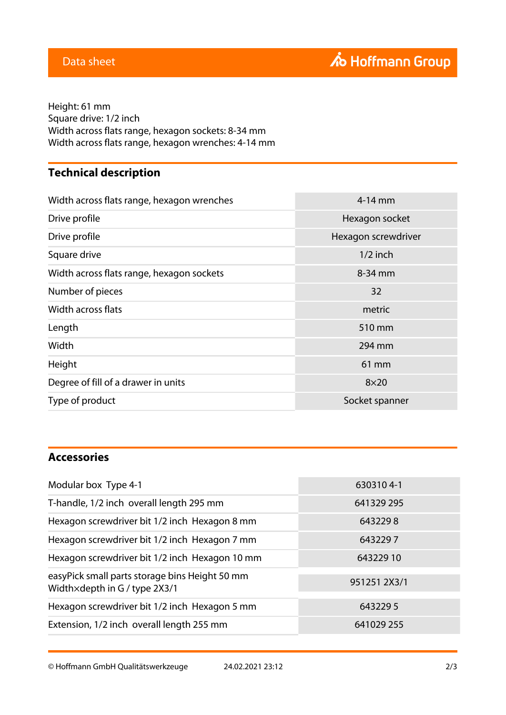**TextFlow 12** Height: 61 mm Square drive: 1/2 inch Width across flats range, hexagon sockets: 8-34 mm Width across flats range, hexagon wrenches: 4-14 mm

# **Technical description**

| Width across flats range, hexagon wrenches | $4-14$ mm           |
|--------------------------------------------|---------------------|
| Drive profile                              | Hexagon socket      |
| Drive profile                              | Hexagon screwdriver |
| Square drive                               | $1/2$ inch          |
| Width across flats range, hexagon sockets  | 8-34 mm             |
| Number of pieces                           | 32                  |
| Width across flats                         | metric              |
| Length                                     | 510 mm              |
| Width                                      | 294 mm              |
| Height                                     | 61 mm               |
| Degree of fill of a drawer in units        | $8\times20$         |
| Type of product                            | Socket spanner      |

## **Accessories**

| 6303104-1    |
|--------------|
| 641329 295   |
| 6432298      |
| 6432297      |
| 64322910     |
| 951251 2X3/1 |
| 6432295      |
| 641029 255   |
|              |